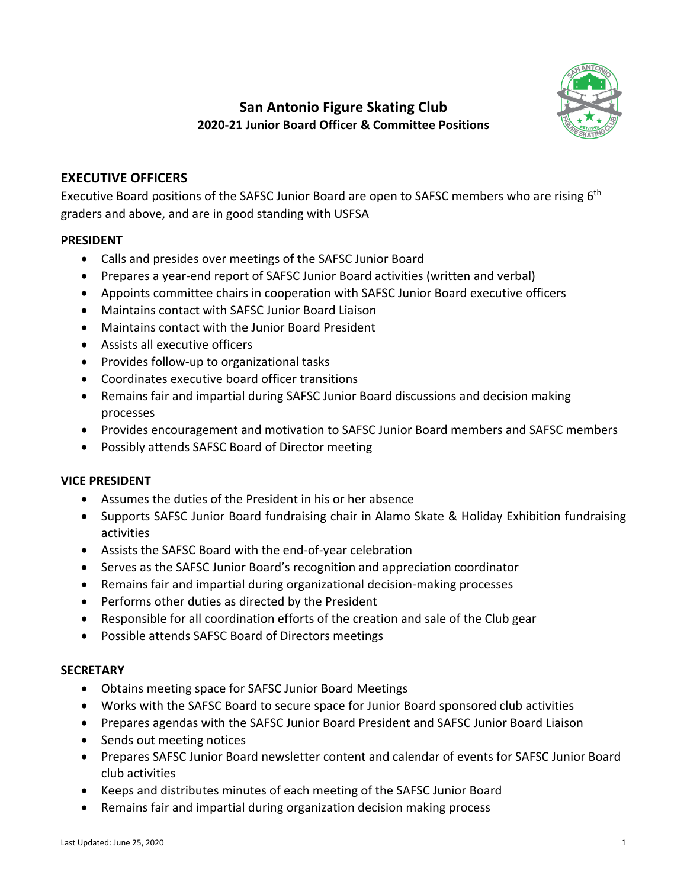

# **San Antonio Figure Skating Club 2020-21 Junior Board Officer & Committee Positions**

## **EXECUTIVE OFFICERS**

Executive Board positions of the SAFSC Junior Board are open to SAFSC members who are rising 6<sup>th</sup> graders and above, and are in good standing with USFSA

#### **PRESIDENT**

- Calls and presides over meetings of the SAFSC Junior Board
- Prepares a year-end report of SAFSC Junior Board activities (written and verbal)
- Appoints committee chairs in cooperation with SAFSC Junior Board executive officers
- Maintains contact with SAFSC Junior Board Liaison
- Maintains contact with the Junior Board President
- Assists all executive officers
- Provides follow-up to organizational tasks
- Coordinates executive board officer transitions
- Remains fair and impartial during SAFSC Junior Board discussions and decision making processes
- Provides encouragement and motivation to SAFSC Junior Board members and SAFSC members
- Possibly attends SAFSC Board of Director meeting

#### **VICE PRESIDENT**

- Assumes the duties of the President in his or her absence
- Supports SAFSC Junior Board fundraising chair in Alamo Skate & Holiday Exhibition fundraising activities
- Assists the SAFSC Board with the end-of-year celebration
- Serves as the SAFSC Junior Board's recognition and appreciation coordinator
- Remains fair and impartial during organizational decision-making processes
- Performs other duties as directed by the President
- Responsible for all coordination efforts of the creation and sale of the Club gear
- Possible attends SAFSC Board of Directors meetings

#### **SECRETARY**

- Obtains meeting space for SAFSC Junior Board Meetings
- Works with the SAFSC Board to secure space for Junior Board sponsored club activities
- Prepares agendas with the SAFSC Junior Board President and SAFSC Junior Board Liaison
- Sends out meeting notices
- Prepares SAFSC Junior Board newsletter content and calendar of events for SAFSC Junior Board club activities
- Keeps and distributes minutes of each meeting of the SAFSC Junior Board
- Remains fair and impartial during organization decision making process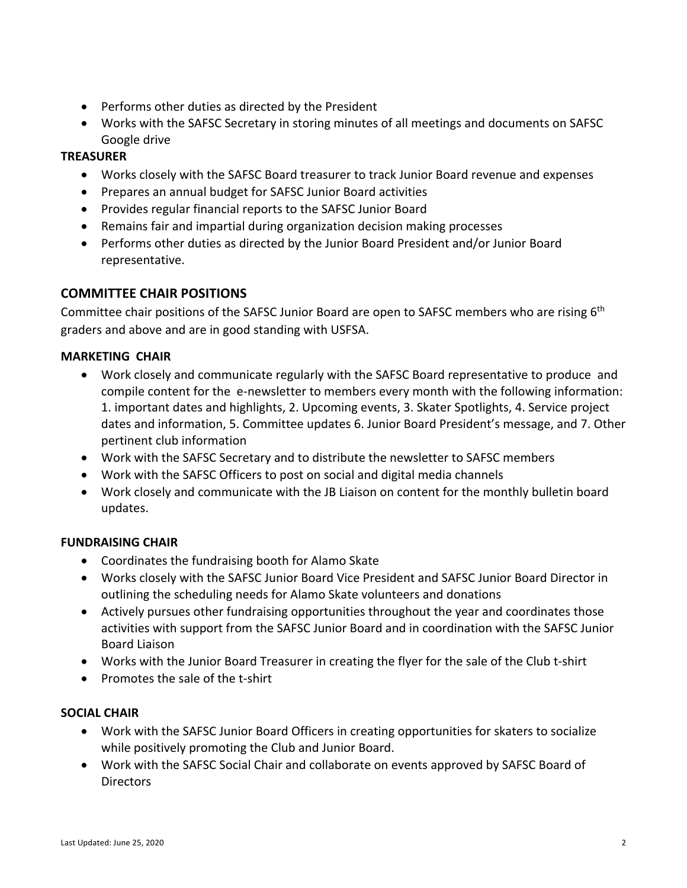- Performs other duties as directed by the President
- Works with the SAFSC Secretary in storing minutes of all meetings and documents on SAFSC Google drive

### **TREASURER**

- Works closely with the SAFSC Board treasurer to track Junior Board revenue and expenses
- Prepares an annual budget for SAFSC Junior Board activities
- Provides regular financial reports to the SAFSC Junior Board
- Remains fair and impartial during organization decision making processes
- Performs other duties as directed by the Junior Board President and/or Junior Board representative.

## **COMMITTEE CHAIR POSITIONS**

Committee chair positions of the SAFSC Junior Board are open to SAFSC members who are rising 6<sup>th</sup> graders and above and are in good standing with USFSA.

#### **MARKETING CHAIR**

- Work closely and communicate regularly with the SAFSC Board representative to produce and compile content for the e-newsletter to members every month with the following information: 1. important dates and highlights, 2. Upcoming events, 3. Skater Spotlights, 4. Service project dates and information, 5. Committee updates 6. Junior Board President's message, and 7. Other pertinent club information
- Work with the SAFSC Secretary and to distribute the newsletter to SAFSC members
- Work with the SAFSC Officers to post on social and digital media channels
- Work closely and communicate with the JB Liaison on content for the monthly bulletin board updates.

#### **FUNDRAISING CHAIR**

- Coordinates the fundraising booth for Alamo Skate
- Works closely with the SAFSC Junior Board Vice President and SAFSC Junior Board Director in outlining the scheduling needs for Alamo Skate volunteers and donations
- Actively pursues other fundraising opportunities throughout the year and coordinates those activities with support from the SAFSC Junior Board and in coordination with the SAFSC Junior Board Liaison
- Works with the Junior Board Treasurer in creating the flyer for the sale of the Club t-shirt
- Promotes the sale of the t-shirt

#### **SOCIAL CHAIR**

- Work with the SAFSC Junior Board Officers in creating opportunities for skaters to socialize while positively promoting the Club and Junior Board.
- Work with the SAFSC Social Chair and collaborate on events approved by SAFSC Board of **Directors**